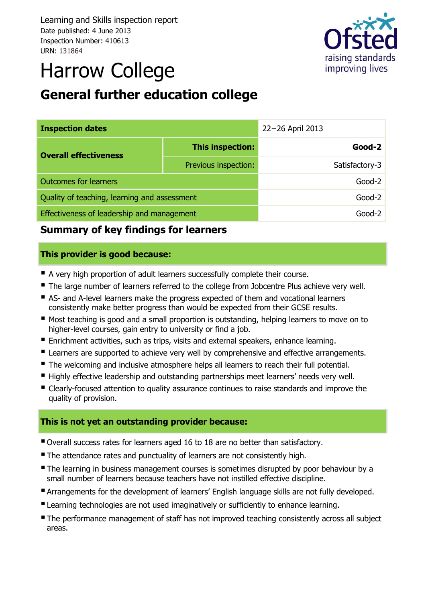Learning and Skills inspection report Date published: 4 June 2013 Inspection Number: 410613 URN: 131864



# Harrow College

# **General further education college**

| <b>Inspection dates</b>                          |                      | 22-26 April 2013 |                |
|--------------------------------------------------|----------------------|------------------|----------------|
| This inspection:<br><b>Overall effectiveness</b> |                      |                  | $Good-2$       |
|                                                  | Previous inspection: |                  | Satisfactory-3 |
| <b>Outcomes for learners</b>                     |                      |                  | $Good-2$       |
| Quality of teaching, learning and assessment     |                      |                  | $Good-2$       |
| Effectiveness of leadership and management       |                      |                  | $Good-2$       |

### **Summary of key findings for learners**

#### **This provider is good because:**

- A very high proportion of adult learners successfully complete their course.
- The large number of learners referred to the college from Jobcentre Plus achieve very well.
- AS- and A-level learners make the progress expected of them and vocational learners consistently make better progress than would be expected from their GCSE results.
- Most teaching is good and a small proportion is outstanding, helping learners to move on to higher-level courses, gain entry to university or find a job.
- **Enrichment activities, such as trips, visits and external speakers, enhance learning.**
- **Learners are supported to achieve very well by comprehensive and effective arrangements.**
- The welcoming and inclusive atmosphere helps all learners to reach their full potential.
- Highly effective leadership and outstanding partnerships meet learners' needs very well.
- Clearly-focused attention to quality assurance continues to raise standards and improve the quality of provision.

#### **This is not yet an outstanding provider because:**

- Overall success rates for learners aged 16 to 18 are no better than satisfactory.
- The attendance rates and punctuality of learners are not consistently high.
- The learning in business management courses is sometimes disrupted by poor behaviour by a small number of learners because teachers have not instilled effective discipline.
- **Arrangements for the development of learners' English language skills are not fully developed.**
- **Examing technologies are not used imaginatively or sufficiently to enhance learning.**
- The performance management of staff has not improved teaching consistently across all subject areas.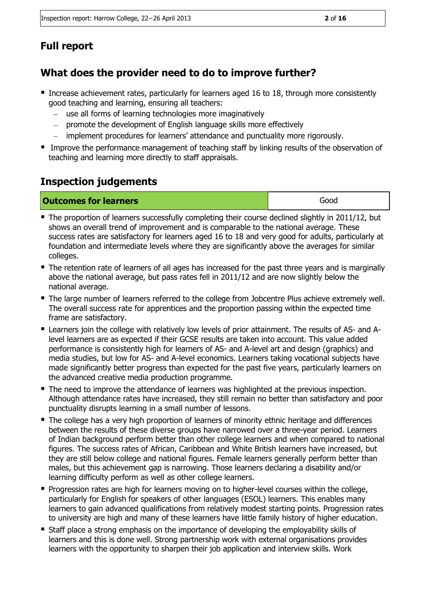# **Full report**

# **What does the provider need to do to improve further?**

- **Increase achievement rates, particularly for learners aged 16 to 18, through more consistently** good teaching and learning, ensuring all teachers:
	- use all forms of learning technologies more imaginatively  $\overline{\phantom{a}}$
	- promote the development of English language skills more effectively  $\equiv$
	- implement procedures for learners' attendance and punctuality more rigorously.
- Improve the performance management of teaching staff by linking results of the observation of teaching and learning more directly to staff appraisals.

# **Inspection judgements**

| <b>Outcomes for learners</b> | Good |
|------------------------------|------|
|                              |      |

- The proportion of learners successfully completing their course declined slightly in 2011/12, but shows an overall trend of improvement and is comparable to the national average. These success rates are satisfactory for learners aged 16 to 18 and very good for adults, particularly at foundation and intermediate levels where they are significantly above the averages for similar colleges.
- The retention rate of learners of all ages has increased for the past three years and is marginally above the national average, but pass rates fell in 2011/12 and are now slightly below the national average.
- **The large number of learners referred to the college from Jobcentre Plus achieve extremely well.** The overall success rate for apprentices and the proportion passing within the expected time frame are satisfactory.
- Learners join the college with relatively low levels of prior attainment. The results of AS- and Alevel learners are as expected if their GCSE results are taken into account. This value added performance is consistently high for learners of AS- and A-level art and design (graphics) and media studies, but low for AS- and A-level economics. Learners taking vocational subjects have made significantly better progress than expected for the past five years, particularly learners on the advanced creative media production programme.
- **The need to improve the attendance of learners was highlighted at the previous inspection.** Although attendance rates have increased, they still remain no better than satisfactory and poor punctuality disrupts learning in a small number of lessons.
- The college has a very high proportion of learners of minority ethnic heritage and differences between the results of these diverse groups have narrowed over a three-year period. Learners of Indian background perform better than other college learners and when compared to national figures. The success rates of African, Caribbean and White British learners have increased, but they are still below college and national figures. Female learners generally perform better than males, but this achievement gap is narrowing. Those learners declaring a disability and/or learning difficulty perform as well as other college learners.
- **Progression rates are high for learners moving on to higher-level courses within the college,** particularly for English for speakers of other languages (ESOL) learners. This enables many learners to gain advanced qualifications from relatively modest starting points. Progression rates to university are high and many of these learners have little family history of higher education.
- Staff place a strong emphasis on the importance of developing the employability skills of learners and this is done well. Strong partnership work with external organisations provides learners with the opportunity to sharpen their job application and interview skills. Work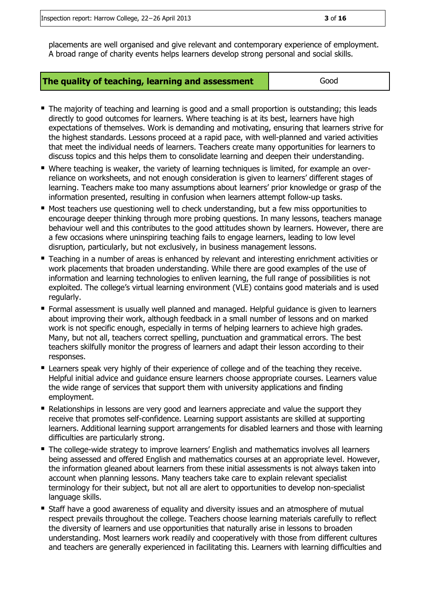Inspection report: Harrow College, 22−26 April 2013 **3** of **16**

placements are well organised and give relevant and contemporary experience of employment. A broad range of charity events helps learners develop strong personal and social skills.

| The quality of teaching, learning and assessment | Good |
|--------------------------------------------------|------|
|--------------------------------------------------|------|

- The majority of teaching and learning is good and a small proportion is outstanding; this leads directly to good outcomes for learners. Where teaching is at its best, learners have high expectations of themselves. Work is demanding and motivating, ensuring that learners strive for the highest standards. Lessons proceed at a rapid pace, with well-planned and varied activities that meet the individual needs of learners. Teachers create many opportunities for learners to discuss topics and this helps them to consolidate learning and deepen their understanding.
- Where teaching is weaker, the variety of learning techniques is limited, for example an overreliance on worksheets, and not enough consideration is given to learners' different stages of learning. Teachers make too many assumptions about learners' prior knowledge or grasp of the information presented, resulting in confusion when learners attempt follow-up tasks.
- **Most teachers use questioning well to check understanding, but a few miss opportunities to** encourage deeper thinking through more probing questions. In many lessons, teachers manage behaviour well and this contributes to the good attitudes shown by learners. However, there are a few occasions where uninspiring teaching fails to engage learners, leading to low level disruption, particularly, but not exclusively, in business management lessons.
- **Teaching in a number of areas is enhanced by relevant and interesting enrichment activities or** work placements that broaden understanding. While there are good examples of the use of information and learning technologies to enliven learning, the full range of possibilities is not exploited. The college's virtual learning environment (VLE) contains good materials and is used regularly.
- **F** Formal assessment is usually well planned and managed. Helpful guidance is given to learners about improving their work, although feedback in a small number of lessons and on marked work is not specific enough, especially in terms of helping learners to achieve high grades. Many, but not all, teachers correct spelling, punctuation and grammatical errors. The best teachers skilfully monitor the progress of learners and adapt their lesson according to their responses.
- Learners speak very highly of their experience of college and of the teaching they receive. Helpful initial advice and guidance ensure learners choose appropriate courses. Learners value the wide range of services that support them with university applications and finding employment.
- **Relationships in lessons are very good and learners appreciate and value the support they** receive that promotes self-confidence. Learning support assistants are skilled at supporting learners. Additional learning support arrangements for disabled learners and those with learning difficulties are particularly strong.
- The college-wide strategy to improve learners' English and mathematics involves all learners being assessed and offered English and mathematics courses at an appropriate level. However, the information gleaned about learners from these initial assessments is not always taken into account when planning lessons. Many teachers take care to explain relevant specialist terminology for their subject, but not all are alert to opportunities to develop non-specialist language skills.
- Staff have a good awareness of equality and diversity issues and an atmosphere of mutual respect prevails throughout the college. Teachers choose learning materials carefully to reflect the diversity of learners and use opportunities that naturally arise in lessons to broaden understanding. Most learners work readily and cooperatively with those from different cultures and teachers are generally experienced in facilitating this. Learners with learning difficulties and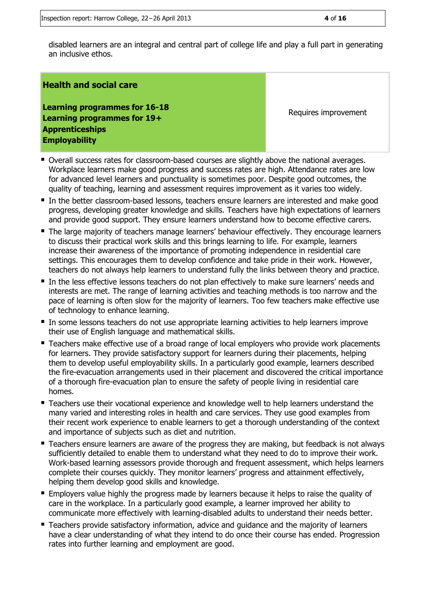disabled learners are an integral and central part of college life and play a full part in generating an inclusive ethos.

#### **Health and social care**

**Learning programmes for 16-18 Learning programmes for 19+ Apprenticeships Employability**

Requires improvement

- Overall success rates for classroom-based courses are slightly above the national averages. Workplace learners make good progress and success rates are high. Attendance rates are low for advanced level learners and punctuality is sometimes poor. Despite good outcomes, the quality of teaching, learning and assessment requires improvement as it varies too widely.
- In the better classroom-based lessons, teachers ensure learners are interested and make good progress, developing greater knowledge and skills. Teachers have high expectations of learners and provide good support. They ensure learners understand how to become effective carers.
- The large majority of teachers manage learners' behaviour effectively. They encourage learners to discuss their practical work skills and this brings learning to life. For example, learners increase their awareness of the importance of promoting independence in residential care settings. This encourages them to develop confidence and take pride in their work. However, teachers do not always help learners to understand fully the links between theory and practice.
- In the less effective lessons teachers do not plan effectively to make sure learners' needs and interests are met. The range of learning activities and teaching methods is too narrow and the pace of learning is often slow for the majority of learners. Too few teachers make effective use of technology to enhance learning.
- In some lessons teachers do not use appropriate learning activities to help learners improve their use of English language and mathematical skills.
- Teachers make effective use of a broad range of local employers who provide work placements for learners. They provide satisfactory support for learners during their placements, helping them to develop useful employability skills. In a particularly good example, learners described the fire-evacuation arrangements used in their placement and discovered the critical importance of a thorough fire-evacuation plan to ensure the safety of people living in residential care homes.
- Teachers use their vocational experience and knowledge well to help learners understand the many varied and interesting roles in health and care services. They use good examples from their recent work experience to enable learners to get a thorough understanding of the context and importance of subjects such as diet and nutrition.
- Teachers ensure learners are aware of the progress they are making, but feedback is not always sufficiently detailed to enable them to understand what they need to do to improve their work. Work-based learning assessors provide thorough and frequent assessment, which helps learners complete their courses quickly. They monitor learners' progress and attainment effectively, helping them develop good skills and knowledge.
- Employers value highly the progress made by learners because it helps to raise the quality of care in the workplace. In a particularly good example, a learner improved her ability to communicate more effectively with learning-disabled adults to understand their needs better.
- Teachers provide satisfactory information, advice and quidance and the majority of learners have a clear understanding of what they intend to do once their course has ended. Progression rates into further learning and employment are good.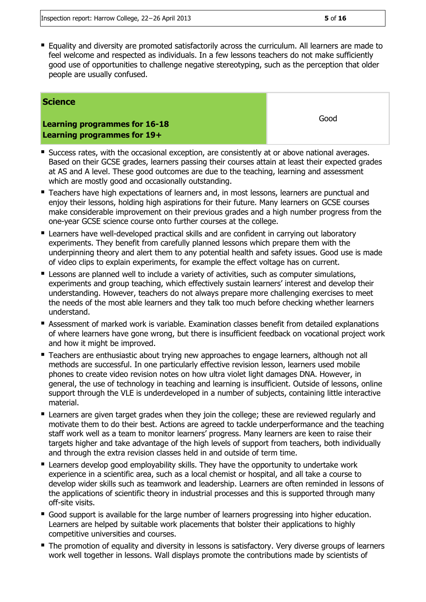Equality and diversity are promoted satisfactorily across the curriculum. All learners are made to feel welcome and respected as individuals. In a few lessons teachers do not make sufficiently good use of opportunities to challenge negative stereotyping, such as the perception that older people are usually confused.

#### **Science**

**Learning programmes for 16-18 Learning programmes for 19+**

Good

- **Success rates, with the occasional exception, are consistently at or above national averages.** Based on their GCSE grades, learners passing their courses attain at least their expected grades at AS and A level. These good outcomes are due to the teaching, learning and assessment which are mostly good and occasionally outstanding.
- Teachers have high expectations of learners and, in most lessons, learners are punctual and enjoy their lessons, holding high aspirations for their future. Many learners on GCSE courses make considerable improvement on their previous grades and a high number progress from the one-year GCSE science course onto further courses at the college.
- **E** Learners have well-developed practical skills and are confident in carrying out laboratory experiments. They benefit from carefully planned lessons which prepare them with the underpinning theory and alert them to any potential health and safety issues. Good use is made of video clips to explain experiments, for example the effect voltage has on current.
- **E** Lessons are planned well to include a variety of activities, such as computer simulations, experiments and group teaching, which effectively sustain learners' interest and develop their understanding. However, teachers do not always prepare more challenging exercises to meet the needs of the most able learners and they talk too much before checking whether learners understand.
- **Assessment of marked work is variable. Examination classes benefit from detailed explanations** of where learners have gone wrong, but there is insufficient feedback on vocational project work and how it might be improved.
- **Teachers are enthusiastic about trying new approaches to engage learners, although not all** methods are successful. In one particularly effective revision lesson, learners used mobile phones to create video revision notes on how ultra violet light damages DNA. However, in general, the use of technology in teaching and learning is insufficient. Outside of lessons, online support through the VLE is underdeveloped in a number of subjects, containing little interactive material.
- **E** Learners are given target grades when they join the college; these are reviewed regularly and motivate them to do their best. Actions are agreed to tackle underperformance and the teaching staff work well as a team to monitor learners' progress. Many learners are keen to raise their targets higher and take advantage of the high levels of support from teachers, both individually and through the extra revision classes held in and outside of term time.
- **E** Learners develop good employability skills. They have the opportunity to undertake work experience in a scientific area, such as a local chemist or hospital, and all take a course to develop wider skills such as teamwork and leadership. Learners are often reminded in lessons of the applications of scientific theory in industrial processes and this is supported through many off-site visits.
- Good support is available for the large number of learners progressing into higher education. Learners are helped by suitable work placements that bolster their applications to highly competitive universities and courses.
- The promotion of equality and diversity in lessons is satisfactory. Very diverse groups of learners work well together in lessons. Wall displays promote the contributions made by scientists of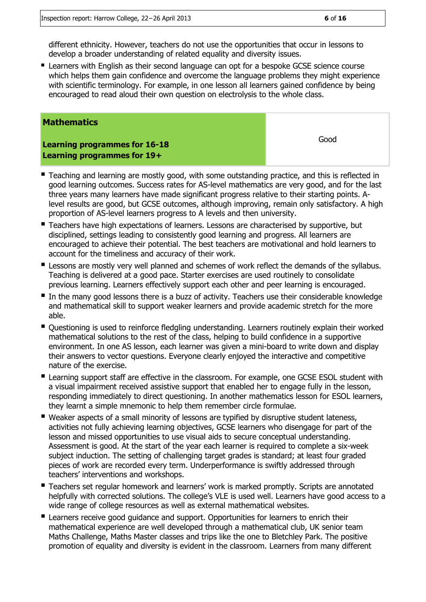different ethnicity. However, teachers do not use the opportunities that occur in lessons to develop a broader understanding of related equality and diversity issues.

**E** Learners with English as their second language can opt for a bespoke GCSE science course which helps them gain confidence and overcome the language problems they might experience with scientific terminology. For example, in one lesson all learners gained confidence by being encouraged to read aloud their own question on electrolysis to the whole class.

#### **Mathematics**

**Learning programmes for 16-18 Learning programmes for 19+**

- **Teaching and learning are mostly good, with some outstanding practice, and this is reflected in** good learning outcomes. Success rates for AS-level mathematics are very good, and for the last three years many learners have made significant progress relative to their starting points. Alevel results are good, but GCSE outcomes, although improving, remain only satisfactory. A high proportion of AS-level learners progress to A levels and then university.
- **Teachers have high expectations of learners. Lessons are characterised by supportive, but** disciplined, settings leading to consistently good learning and progress. All learners are encouraged to achieve their potential. The best teachers are motivational and hold learners to account for the timeliness and accuracy of their work.
- **E** Lessons are mostly very well planned and schemes of work reflect the demands of the syllabus. Teaching is delivered at a good pace. Starter exercises are used routinely to consolidate previous learning. Learners effectively support each other and peer learning is encouraged.
- $\blacksquare$  In the many good lessons there is a buzz of activity. Teachers use their considerable knowledge and mathematical skill to support weaker learners and provide academic stretch for the more able.
- Questioning is used to reinforce fledgling understanding. Learners routinely explain their worked mathematical solutions to the rest of the class, helping to build confidence in a supportive environment. In one AS lesson, each learner was given a mini-board to write down and display their answers to vector questions. Everyone clearly enjoyed the interactive and competitive nature of the exercise.
- Learning support staff are effective in the classroom. For example, one GCSE ESOL student with a visual impairment received assistive support that enabled her to engage fully in the lesson, responding immediately to direct questioning. In another mathematics lesson for ESOL learners, they learnt a simple mnemonic to help them remember circle formulae.
- Weaker aspects of a small minority of lessons are typified by disruptive student lateness, activities not fully achieving learning objectives, GCSE learners who disengage for part of the lesson and missed opportunities to use visual aids to secure conceptual understanding. Assessment is good. At the start of the year each learner is required to complete a six-week subject induction. The setting of challenging target grades is standard; at least four graded pieces of work are recorded every term. Underperformance is swiftly addressed through teachers' interventions and workshops.
- **Teachers set regular homework and learners' work is marked promptly. Scripts are annotated** helpfully with corrected solutions. The college's VLE is used well. Learners have good access to a wide range of college resources as well as external mathematical websites.
- **E** Learners receive good guidance and support. Opportunities for learners to enrich their mathematical experience are well developed through a mathematical club, UK senior team Maths Challenge, Maths Master classes and trips like the one to Bletchley Park. The positive promotion of equality and diversity is evident in the classroom. Learners from many different

Good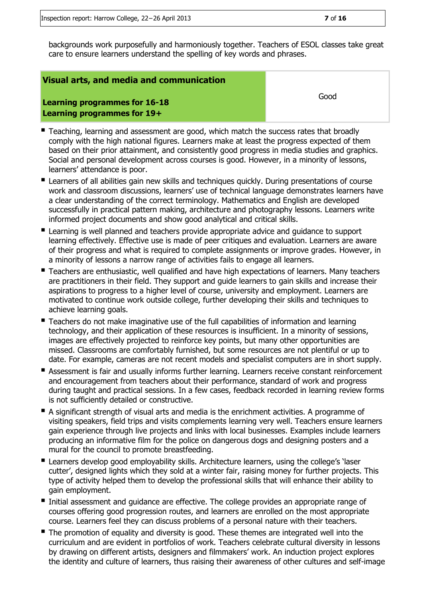backgrounds work purposefully and harmoniously together. Teachers of ESOL classes take great care to ensure learners understand the spelling of key words and phrases.

#### **Visual arts, and media and communication**

Good

**Learning programmes for 16-18 Learning programmes for 19+**

- Teaching, learning and assessment are good, which match the success rates that broadly comply with the high national figures. Learners make at least the progress expected of them based on their prior attainment, and consistently good progress in media studies and graphics. Social and personal development across courses is good. However, in a minority of lessons, learners' attendance is poor.
- **E** Learners of all abilities gain new skills and techniques quickly. During presentations of course work and classroom discussions, learners' use of technical language demonstrates learners have a clear understanding of the correct terminology. Mathematics and English are developed successfully in practical pattern making, architecture and photography lessons. Learners write informed project documents and show good analytical and critical skills.
- **E** Learning is well planned and teachers provide appropriate advice and guidance to support learning effectively. Effective use is made of peer critiques and evaluation. Learners are aware of their progress and what is required to complete assignments or improve grades. However, in a minority of lessons a narrow range of activities fails to engage all learners.
- Teachers are enthusiastic, well qualified and have high expectations of learners. Many teachers are practitioners in their field. They support and guide learners to gain skills and increase their aspirations to progress to a higher level of course, university and employment. Learners are motivated to continue work outside college, further developing their skills and techniques to achieve learning goals.
- **Teachers do not make imaginative use of the full capabilities of information and learning** technology, and their application of these resources is insufficient. In a minority of sessions, images are effectively projected to reinforce key points, but many other opportunities are missed. Classrooms are comfortably furnished, but some resources are not plentiful or up to date. For example, cameras are not recent models and specialist computers are in short supply.
- **Assessment is fair and usually informs further learning. Learners receive constant reinforcement** and encouragement from teachers about their performance, standard of work and progress during taught and practical sessions. In a few cases, feedback recorded in learning review forms is not sufficiently detailed or constructive.
- A significant strength of visual arts and media is the enrichment activities. A programme of visiting speakers, field trips and visits complements learning very well. Teachers ensure learners gain experience through live projects and links with local businesses. Examples include learners producing an informative film for the police on dangerous dogs and designing posters and a mural for the council to promote breastfeeding.
- **E** Learners develop good employability skills. Architecture learners, using the college's 'laser cutter', designed lights which they sold at a winter fair, raising money for further projects. This type of activity helped them to develop the professional skills that will enhance their ability to gain employment.
- Initial assessment and guidance are effective. The college provides an appropriate range of courses offering good progression routes, and learners are enrolled on the most appropriate course. Learners feel they can discuss problems of a personal nature with their teachers.
- The promotion of equality and diversity is good. These themes are integrated well into the curriculum and are evident in portfolios of work. Teachers celebrate cultural diversity in lessons by drawing on different artists, designers and filmmakers' work. An induction project explores the identity and culture of learners, thus raising their awareness of other cultures and self-image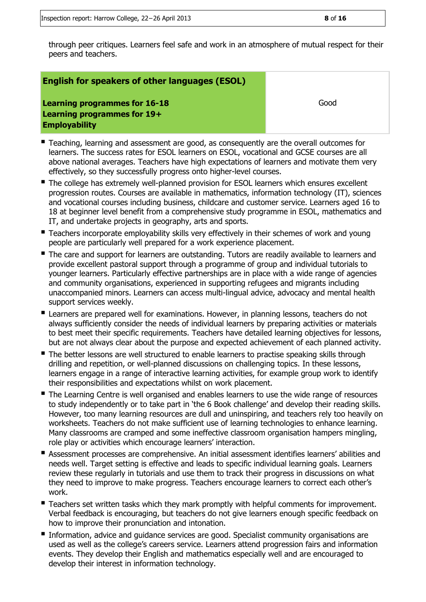through peer critiques. Learners feel safe and work in an atmosphere of mutual respect for their peers and teachers.

#### **English for speakers of other languages (ESOL)**

**Learning programmes for 16-18 Learning programmes for 19+ Employability**

Good

- Teaching, learning and assessment are good, as consequently are the overall outcomes for learners. The success rates for ESOL learners on ESOL, vocational and GCSE courses are all above national averages. Teachers have high expectations of learners and motivate them very effectively, so they successfully progress onto higher-level courses.
- The college has extremely well-planned provision for ESOL learners which ensures excellent progression routes. Courses are available in mathematics, information technology (IT), sciences and vocational courses including business, childcare and customer service. Learners aged 16 to 18 at beginner level benefit from a comprehensive study programme in ESOL, mathematics and IT, and undertake projects in geography, arts and sports.
- **Teachers incorporate employability skills very effectively in their schemes of work and young** people are particularly well prepared for a work experience placement.
- The care and support for learners are outstanding. Tutors are readily available to learners and provide excellent pastoral support through a programme of group and individual tutorials to younger learners. Particularly effective partnerships are in place with a wide range of agencies and community organisations, experienced in supporting refugees and migrants including unaccompanied minors. Learners can access multi-lingual advice, advocacy and mental health support services weekly.
- **E** Learners are prepared well for examinations. However, in planning lessons, teachers do not always sufficiently consider the needs of individual learners by preparing activities or materials to best meet their specific requirements. Teachers have detailed learning objectives for lessons, but are not always clear about the purpose and expected achievement of each planned activity.
- The better lessons are well structured to enable learners to practise speaking skills through drilling and repetition, or well-planned discussions on challenging topics. In these lessons, learners engage in a range of interactive learning activities, for example group work to identify their responsibilities and expectations whilst on work placement.
- The Learning Centre is well organised and enables learners to use the wide range of resources to study independently or to take part in 'the 6 Book challenge' and develop their reading skills. However, too many learning resources are dull and uninspiring, and teachers rely too heavily on worksheets. Teachers do not make sufficient use of learning technologies to enhance learning. Many classrooms are cramped and some ineffective classroom organisation hampers mingling, role play or activities which encourage learners' interaction.
- Assessment processes are comprehensive. An initial assessment identifies learners' abilities and needs well. Target setting is effective and leads to specific individual learning goals. Learners review these regularly in tutorials and use them to track their progress in discussions on what they need to improve to make progress. Teachers encourage learners to correct each other's work.
- **Teachers set written tasks which they mark promptly with helpful comments for improvement.** Verbal feedback is encouraging, but teachers do not give learners enough specific feedback on how to improve their pronunciation and intonation.
- Information, advice and quidance services are good. Specialist community organisations are used as well as the college's careers service. Learners attend progression fairs and information events. They develop their English and mathematics especially well and are encouraged to develop their interest in information technology.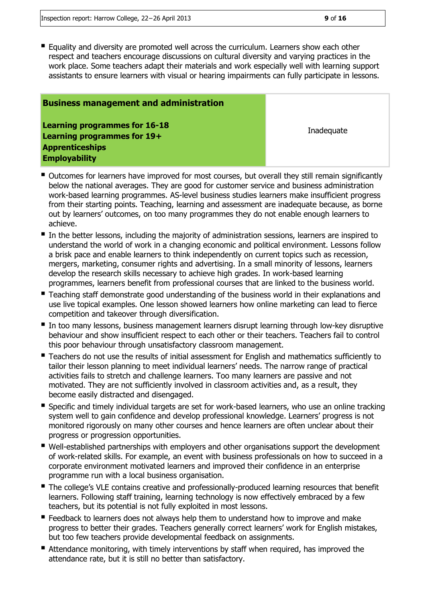**E** Equality and diversity are promoted well across the curriculum. Learners show each other respect and teachers encourage discussions on cultural diversity and varying practices in the work place. Some teachers adapt their materials and work especially well with learning support assistants to ensure learners with visual or hearing impairments can fully participate in lessons.

#### **Business management and administration**

**Learning programmes for 16-18 Learning programmes for 19+ Apprenticeships Employability**

**Inadequate** 

- Outcomes for learners have improved for most courses, but overall they still remain significantly below the national averages. They are good for customer service and business administration work-based learning programmes. AS-level business studies learners make insufficient progress from their starting points. Teaching, learning and assessment are inadequate because, as borne out by learners' outcomes, on too many programmes they do not enable enough learners to achieve.
- In the better lessons, including the majority of administration sessions, learners are inspired to understand the world of work in a changing economic and political environment. Lessons follow a brisk pace and enable learners to think independently on current topics such as recession, mergers, marketing, consumer rights and advertising. In a small minority of lessons, learners develop the research skills necessary to achieve high grades. In work-based learning programmes, learners benefit from professional courses that are linked to the business world.
- **Teaching staff demonstrate good understanding of the business world in their explanations and Theorie and** use live topical examples. One lesson showed learners how online marketing can lead to fierce competition and takeover through diversification.
- In too many lessons, business management learners disrupt learning through low-key disruptive behaviour and show insufficient respect to each other or their teachers. Teachers fail to control this poor behaviour through unsatisfactory classroom management.
- Teachers do not use the results of initial assessment for English and mathematics sufficiently to tailor their lesson planning to meet individual learners' needs. The narrow range of practical activities fails to stretch and challenge learners. Too many learners are passive and not motivated. They are not sufficiently involved in classroom activities and, as a result, they become easily distracted and disengaged.
- Specific and timely individual targets are set for work-based learners, who use an online tracking system well to gain confidence and develop professional knowledge. Learners' progress is not monitored rigorously on many other courses and hence learners are often unclear about their progress or progression opportunities.
- Well-established partnerships with employers and other organisations support the development of work-related skills. For example, an event with business professionals on how to succeed in a corporate environment motivated learners and improved their confidence in an enterprise programme run with a local business organisation.
- The college's VLE contains creative and professionally-produced learning resources that benefit learners. Following staff training, learning technology is now effectively embraced by a few teachers, but its potential is not fully exploited in most lessons.
- **Feedback to learners does not always help them to understand how to improve and make** progress to better their grades. Teachers generally correct learners' work for English mistakes, but too few teachers provide developmental feedback on assignments.
- Attendance monitoring, with timely interventions by staff when required, has improved the attendance rate, but it is still no better than satisfactory.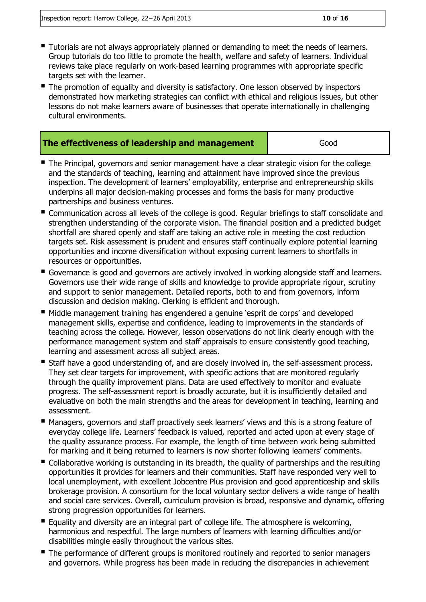- Tutorials are not always appropriately planned or demanding to meet the needs of learners. Group tutorials do too little to promote the health, welfare and safety of learners. Individual reviews take place regularly on work-based learning programmes with appropriate specific targets set with the learner.
- The promotion of equality and diversity is satisfactory. One lesson observed by inspectors demonstrated how marketing strategies can conflict with ethical and religious issues, but other lessons do not make learners aware of businesses that operate internationally in challenging cultural environments.

#### **The effectiveness of leadership and management Figure 4** Good

- The Principal, governors and senior management have a clear strategic vision for the college and the standards of teaching, learning and attainment have improved since the previous inspection. The development of learners' employability, enterprise and entrepreneurship skills underpins all major decision-making processes and forms the basis for many productive partnerships and business ventures.
- Communication across all levels of the college is good. Regular briefings to staff consolidate and strengthen understanding of the corporate vision. The financial position and a predicted budget shortfall are shared openly and staff are taking an active role in meeting the cost reduction targets set. Risk assessment is prudent and ensures staff continually explore potential learning opportunities and income diversification without exposing current learners to shortfalls in resources or opportunities.
- Governance is good and governors are actively involved in working alongside staff and learners. Governors use their wide range of skills and knowledge to provide appropriate rigour, scrutiny and support to senior management. Detailed reports, both to and from governors, inform discussion and decision making. Clerking is efficient and thorough.
- Middle management training has engendered a genuine 'esprit de corps' and developed management skills, expertise and confidence, leading to improvements in the standards of teaching across the college. However, lesson observations do not link clearly enough with the performance management system and staff appraisals to ensure consistently good teaching, learning and assessment across all subject areas.
- Staff have a good understanding of, and are closely involved in, the self-assessment process. They set clear targets for improvement, with specific actions that are monitored regularly through the quality improvement plans. Data are used effectively to monitor and evaluate progress. The self-assessment report is broadly accurate, but it is insufficiently detailed and evaluative on both the main strengths and the areas for development in teaching, learning and assessment.
- Managers, governors and staff proactively seek learners' views and this is a strong feature of everyday college life. Learners' feedback is valued, reported and acted upon at every stage of the quality assurance process. For example, the length of time between work being submitted for marking and it being returned to learners is now shorter following learners' comments.
- Collaborative working is outstanding in its breadth, the quality of partnerships and the resulting opportunities it provides for learners and their communities. Staff have responded very well to local unemployment, with excellent Jobcentre Plus provision and good apprenticeship and skills brokerage provision. A consortium for the local voluntary sector delivers a wide range of health and social care services. Overall, curriculum provision is broad, responsive and dynamic, offering strong progression opportunities for learners.
- Equality and diversity are an integral part of college life. The atmosphere is welcoming, harmonious and respectful. The large numbers of learners with learning difficulties and/or disabilities mingle easily throughout the various sites.
- The performance of different groups is monitored routinely and reported to senior managers and governors. While progress has been made in reducing the discrepancies in achievement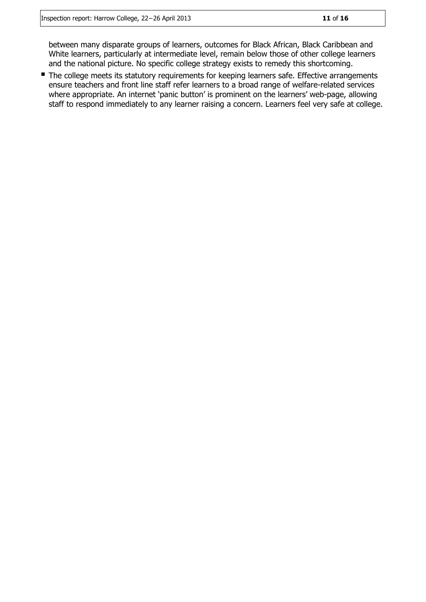between many disparate groups of learners, outcomes for Black African, Black Caribbean and White learners, particularly at intermediate level, remain below those of other college learners and the national picture. No specific college strategy exists to remedy this shortcoming.

The college meets its statutory requirements for keeping learners safe. Effective arrangements ensure teachers and front line staff refer learners to a broad range of welfare-related services where appropriate. An internet 'panic button' is prominent on the learners' web-page, allowing staff to respond immediately to any learner raising a concern. Learners feel very safe at college.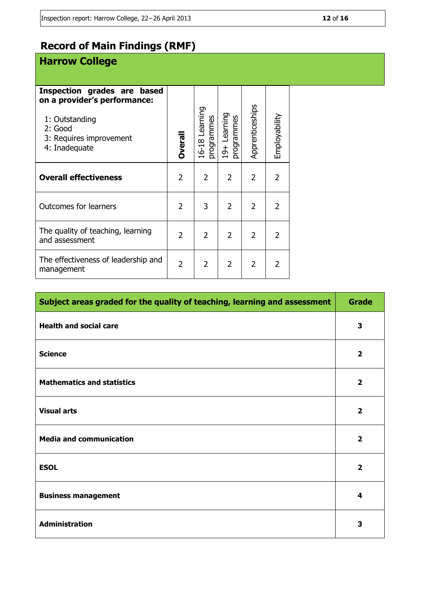# **Record of Main Findings (RMF)**

# **Harrow College**

| Inspection grades are based<br>on a provider's performance:<br>1: Outstanding<br>2: Good<br>3: Requires improvement<br>4: Inadequate | Dveral         | 16-18 Learning<br>programmes | 19+ Learning<br>programmes | Apprenticeships | Employability  |
|--------------------------------------------------------------------------------------------------------------------------------------|----------------|------------------------------|----------------------------|-----------------|----------------|
| <b>Overall effectiveness</b>                                                                                                         | $\overline{2}$ | $\overline{2}$               | $\overline{2}$             | $\overline{2}$  | $\overline{2}$ |
| <b>Outcomes for learners</b>                                                                                                         | 2              | 3                            | $\overline{2}$             | $\overline{2}$  | $\overline{2}$ |
| The quality of teaching, learning<br>and assessment                                                                                  | $\mathfrak{p}$ | $\overline{2}$               | $\overline{2}$             | $\overline{2}$  | $\overline{2}$ |
| The effectiveness of leadership and<br>management                                                                                    | 2              | $\overline{2}$               | $\overline{2}$             | $\overline{2}$  | 2              |

| Subject areas graded for the quality of teaching, learning and assessment | <b>Grade</b>            |
|---------------------------------------------------------------------------|-------------------------|
| <b>Health and social care</b>                                             | 3                       |
| <b>Science</b>                                                            | $\overline{2}$          |
| <b>Mathematics and statistics</b>                                         | $\overline{\mathbf{2}}$ |
| <b>Visual arts</b>                                                        | $\overline{2}$          |
| <b>Media and communication</b>                                            | $\overline{2}$          |
| <b>ESOL</b>                                                               | $\overline{2}$          |
| <b>Business management</b>                                                | 4                       |
| <b>Administration</b>                                                     | 3                       |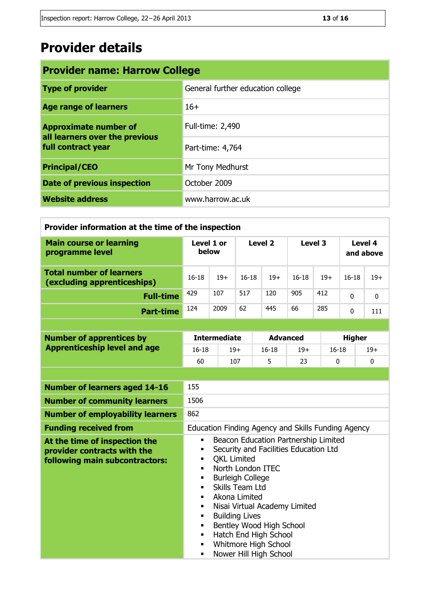# **Provider details**

| <b>Provider name: Harrow College</b>                                                 |                                   |  |  |
|--------------------------------------------------------------------------------------|-----------------------------------|--|--|
| <b>Type of provider</b>                                                              | General further education college |  |  |
| <b>Age range of learners</b>                                                         | $16+$                             |  |  |
| <b>Approximate number of</b><br>all learners over the previous<br>full contract year | Full-time: 2,490                  |  |  |
|                                                                                      | Part-time: 4,764                  |  |  |
| <b>Principal/CEO</b>                                                                 | Mr Tony Medhurst                  |  |  |
| <b>Date of previous inspection</b>                                                   | October 2009                      |  |  |
| <b>Website address</b>                                                               | www.harrow.ac.uk                  |  |  |

| Provider information at the time of the inspection             |           |                     |           |         |           |         |           |                      |  |
|----------------------------------------------------------------|-----------|---------------------|-----------|---------|-----------|---------|-----------|----------------------|--|
| <b>Main course or learning</b><br>programme level              |           | Level 1 or<br>below |           | Level 2 |           | Level 3 |           | Level 4<br>and above |  |
| <b>Total number of learners</b><br>(excluding apprenticeships) | $16 - 18$ | $19+$               | $16 - 18$ | $19+$   | $16 - 18$ | $19+$   | $16 - 18$ | $19+$                |  |
| <b>Full-time</b>                                               | 429       | 107                 | 517       | 120     | 905       | 412     | $\Omega$  | $\mathbf{0}$         |  |
| <b>Part-time</b>                                               | 124       | 2009                | 62        | 445     | 66        | 285     | $\Omega$  | 111                  |  |

| <b>Number of apprentices by</b><br><b>Apprenticeship level and age</b> | <b>Intermediate</b> |       | <b>Advanced</b> |       | <b>Higher</b> |       |
|------------------------------------------------------------------------|---------------------|-------|-----------------|-------|---------------|-------|
|                                                                        | 16-18               | $19+$ | $16 - 18$       | $19+$ | $16 - 18$     | $19+$ |
|                                                                        | 60                  | 107   |                 |       |               |       |
|                                                                        |                     |       |                 |       |               |       |

| <b>Number of learners aged 14-16</b>                                                           | 155                                                                                                                                                                                                                                                                                                                                                                                                                                                                                                                                                         |
|------------------------------------------------------------------------------------------------|-------------------------------------------------------------------------------------------------------------------------------------------------------------------------------------------------------------------------------------------------------------------------------------------------------------------------------------------------------------------------------------------------------------------------------------------------------------------------------------------------------------------------------------------------------------|
| <b>Number of community learners</b>                                                            | 1506                                                                                                                                                                                                                                                                                                                                                                                                                                                                                                                                                        |
| <b>Number of employability learners</b>                                                        | 862                                                                                                                                                                                                                                                                                                                                                                                                                                                                                                                                                         |
| <b>Funding received from</b>                                                                   | Education Finding Agency and Skills Funding Agency                                                                                                                                                                                                                                                                                                                                                                                                                                                                                                          |
| At the time of inspection the<br>provider contracts with the<br>following main subcontractors: | Beacon Education Partnership Limited<br>٠<br>Security and Facilities Education Ltd<br>п<br><b>QKL Limited</b><br>$\blacksquare$<br>North London ITEC<br>$\blacksquare$<br><b>Burleigh College</b><br>$\blacksquare$<br>Skills Team Ltd<br>٠<br>Akona Limited<br>$\blacksquare$<br>Nisai Virtual Academy Limited<br>$\blacksquare$<br><b>Building Lives</b><br>$\blacksquare$<br>Bentley Wood High School<br>$\blacksquare$<br>Hatch End High School<br>$\blacksquare$<br>Whitmore High School<br>$\blacksquare$<br>Nower Hill High School<br>$\blacksquare$ |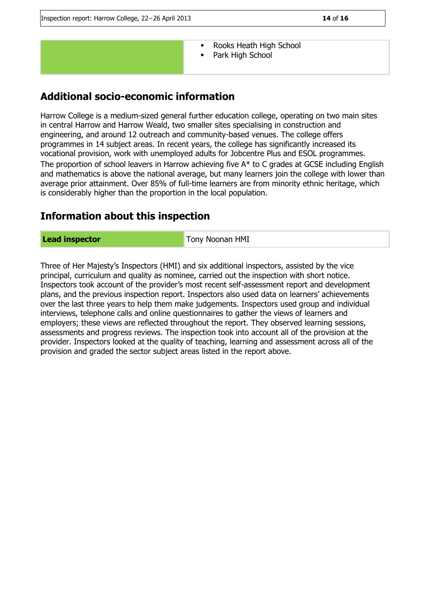

- Rooks Heath High School
- **Park High School**

## **Additional socio-economic information**

Harrow College is a medium-sized general further education college, operating on two main sites in central Harrow and Harrow Weald, two smaller sites specialising in construction and engineering, and around 12 outreach and community-based venues. The college offers programmes in 14 subject areas. In recent years, the college has significantly increased its vocational provision, work with unemployed adults for Jobcentre Plus and ESOL programmes. The proportion of school leavers in Harrow achieving five A\* to C grades at GCSE including English and mathematics is above the national average, but many learners join the college with lower than average prior attainment. Over 85% of full-time learners are from minority ethnic heritage, which is considerably higher than the proportion in the local population.

### **Information about this inspection**

#### **Lead inspector** Tony Noonan HMI

Three of Her Majesty's Inspectors (HMI) and six additional inspectors, assisted by the vice principal, curriculum and quality as nominee, carried out the inspection with short notice. Inspectors took account of the provider's most recent self-assessment report and development plans, and the previous inspection report. Inspectors also used data on learners' achievements over the last three years to help them make judgements. Inspectors used group and individual interviews, telephone calls and online questionnaires to gather the views of learners and employers; these views are reflected throughout the report. They observed learning sessions, assessments and progress reviews. The inspection took into account all of the provision at the provider. Inspectors looked at the quality of teaching, learning and assessment across all of the provision and graded the sector subject areas listed in the report above.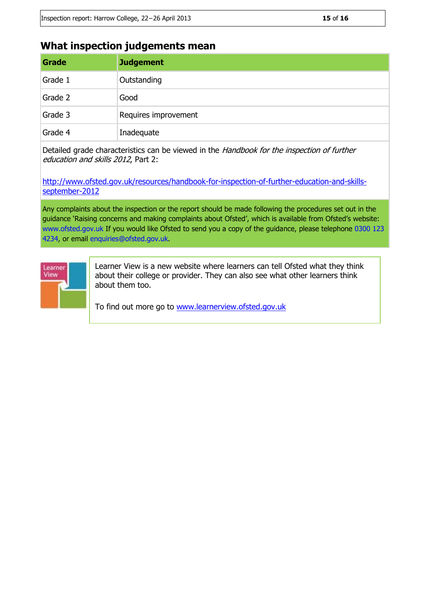### **What inspection judgements mean**

| Grade   | <b>Judgement</b>     |
|---------|----------------------|
| Grade 1 | Outstanding          |
| Grade 2 | Good                 |
| Grade 3 | Requires improvement |
| Grade 4 | Inadequate           |

Detailed grade characteristics can be viewed in the Handbook for the inspection of further education and skills 2012, Part 2:

[http://www.ofsted.gov.uk/resources/handbook-for-inspection-of-further-education-and-skills](http://www.ofsted.gov.uk/resources/handbook-for-inspection-of-further-education-and-skills-september-2012)[september-2012](http://www.ofsted.gov.uk/resources/handbook-for-inspection-of-further-education-and-skills-september-2012)

Any complaints about the inspection or the report should be made following the procedures set out in the guidance 'Raising concerns and making complaints about Ofsted', which is available from Ofsted's website: www.ofsted.gov.uk If you would like Ofsted to send you a copy of the guidance, please telephone 0300 123 4234, or email enquiries@ofsted.gov.uk.



Learner View is a new website where learners can tell Ofsted what they think about their college or provider. They can also see what other learners think about them too.

To find out more go to [www.learnerview.ofsted.gov.uk](http://www.learnerview.ofsted.gov.uk/)